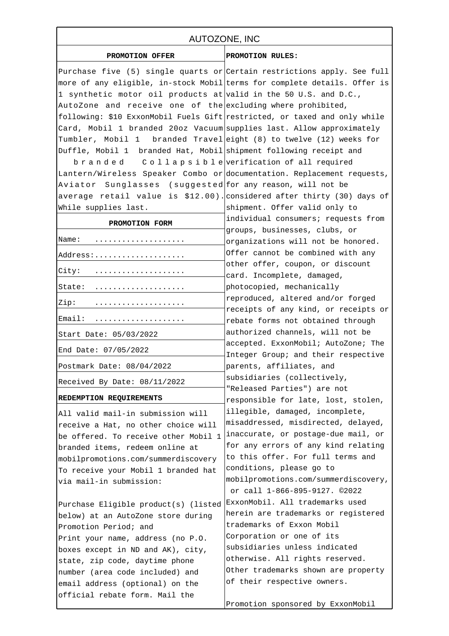## AUTOZONE, INC

## **PROMOTION OFFER PROMOTION RULES:**

| אש היש איטבבטי                                                            |                                                            |
|---------------------------------------------------------------------------|------------------------------------------------------------|
| Purchase five (5) single quarts or Certain restrictions apply. See full   |                                                            |
| more of any eligible, in-stock Mobil terms for complete details. Offer is |                                                            |
| 1 synthetic motor oil products at valid in the 50 U.S. and D.C.,          |                                                            |
| AutoZone and receive one of the excluding where prohibited,               |                                                            |
| following: \$10 ExxonMobil Fuels Gift restricted, or taxed and only while |                                                            |
| Card, Mobil 1 branded 20oz Vacuum supplies last. Allow approximately      |                                                            |
| Tumbler, Mobil 1 branded Travel eight (8) to twelve (12) weeks for        |                                                            |
| Duffle, Mobil 1 branded Hat, Mobil shipment following receipt and         |                                                            |
| branded Collapsible verification of all required                          |                                                            |
| Lantern/Wireless Speaker Combo or documentation. Replacement requests,    |                                                            |
| Aviator Sunglasses (suggested for any reason, will not be                 |                                                            |
| average retail value is \$12.00). considered after thirty (30) days of    |                                                            |
| While supplies last.                                                      | shipment. Offer valid only to                              |
| PROMOTION FORM                                                            | individual consumers; requests from                        |
|                                                                           | groups, businesses, clubs, or                              |
| Name:<br>.                                                                | organizations will not be honored.                         |
| Address:                                                                  | Offer cannot be combined with any                          |
| $City: \qquad \ldots \ldots \ldots \ldots \ldots$                         | other offer, coupon, or discount                           |
|                                                                           | card. Incomplete, damaged,                                 |
| State:                                                                    | photocopied, mechanically                                  |
| Zip:                                                                      | reproduced, altered and/or forged                          |
|                                                                           | receipts of any kind, or receipts or                       |
| Email:<br>.                                                               | rebate forms not obtained through                          |
| Start Date: 05/03/2022                                                    | authorized channels, will not be                           |
| End Date: 07/05/2022                                                      | accepted. ExxonMobil; AutoZone; The                        |
|                                                                           | Integer Group; and their respective                        |
| Postmark Date: 08/04/2022                                                 | parents, affiliates, and                                   |
| Received By Date: 08/11/2022                                              | subsidiaries (collectively,<br>"Released Parties") are not |
| REDEMPTION REQUIREMENTS                                                   | responsible for late, lost, stolen,                        |
|                                                                           | illegible, damaged, incomplete,                            |
| All valid mail-in submission will                                         | misaddressed, misdirected, delayed,                        |
| receive a Hat, no other choice will                                       | inaccurate, or postage-due mail, or                        |
| be offered. To receive other Mobil 1                                      | for any errors of any kind relating                        |
| branded items, redeem online at                                           | to this offer. For full terms and                          |
| mobilpromotions.com/summerdiscovery                                       | conditions, please go to                                   |
| To receive your Mobil 1 branded hat<br>via mail-in submission:            | mobilpromotions.com/summerdiscovery,                       |
|                                                                           | or call 1-866-895-9127. 02022                              |
| Purchase Eligible product(s) (listedExxonMobil. All trademarks used       |                                                            |
| below) at an AutoZone store during                                        | herein are trademarks or registered                        |
| Promotion Period; and                                                     | trademarks of Exxon Mobil                                  |
| Print your name, address (no P.O.                                         | Corporation or one of its                                  |
| boxes except in ND and AK), city,                                         | subsidiaries unless indicated                              |
| state, zip code, daytime phone                                            | otherwise. All rights reserved.                            |
| number (area code included) and                                           | Other trademarks shown are property                        |
| email address (optional) on the                                           | of their respective owners.                                |
| official rebate form. Mail the                                            |                                                            |
|                                                                           | Promotion sponsored by ExxonMobil                          |